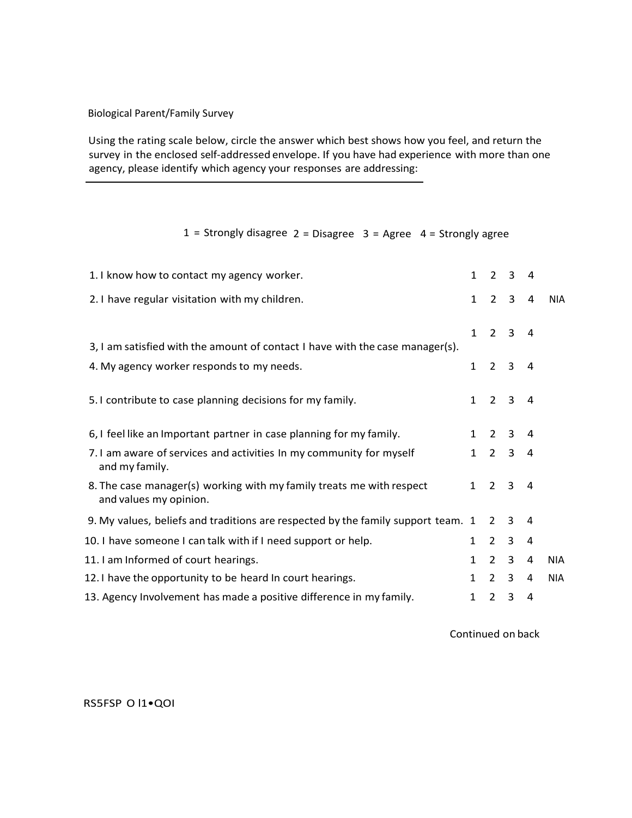## Biological Parent/Family Survey

Using the rating scale below, circle the answer which best shows how you feel, and return the survey in the enclosed self-addressed envelope. If you have had experience with more than one agency, please identify which agency your responses are addressing:

## 1 = Strongly disagree  $2 = Disagree 3 = Agree 4 = Strongly agree$

| 1. I know how to contact my agency worker.                                                     | $\mathbf{1}$ | $\mathfrak{D}$ | 3            | 4 |            |
|------------------------------------------------------------------------------------------------|--------------|----------------|--------------|---|------------|
| 2.1 have regular visitation with my children.                                                  | $\mathbf{1}$ | $\overline{2}$ | 3            | 4 | NIA.       |
|                                                                                                | $\mathbf{1}$ | $\overline{2}$ | 3            | 4 |            |
| 3, I am satisfied with the amount of contact I have with the case manager(s).                  |              |                |              |   |            |
| 4. My agency worker responds to my needs.                                                      | $\mathbf{1}$ | $\overline{2}$ | 3            | 4 |            |
| 5.1 contribute to case planning decisions for my family.                                       | $\mathbf{1}$ | $\overline{2}$ | 3            | 4 |            |
| 6, I feel like an Important partner in case planning for my family.                            | $\mathbf{1}$ | 2              | 3            | 4 |            |
| 7.1 am aware of services and activities In my community for myself<br>and my family.           | $\mathbf{1}$ | $\overline{2}$ | $\mathbf{3}$ | 4 |            |
| 8. The case manager(s) working with my family treats me with respect<br>and values my opinion. | $\mathbf{1}$ | $\overline{2}$ | 3            | 4 |            |
| 9. My values, beliefs and traditions are respected by the family support team. 1               |              | $\mathcal{L}$  | 3            | 4 |            |
| 10. I have someone I can talk with if I need support or help.                                  | $\mathbf{1}$ | $\mathcal{L}$  | 3            | 4 |            |
| 11. I am Informed of court hearings.                                                           | $\mathbf{1}$ | $\mathcal{L}$  | 3            | 4 | <b>NIA</b> |
| 12. I have the opportunity to be heard In court hearings.                                      | $\mathbf{1}$ | $\mathcal{L}$  | 3            | 4 | <b>NIA</b> |
| 13. Agency Involvement has made a positive difference in my family.                            | 1            | $\overline{2}$ | 3            | 4 |            |

Continued on back

RS5FSP O l1•QOI